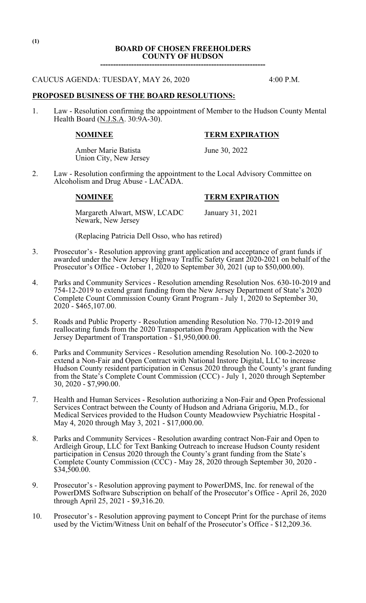## **BOARD OF CHOSEN FREEHOLDERS COUNTY OF HUDSON**

**----------------------------------------------------------------**

### CAUCUS AGENDA: TUESDAY, MAY 26, 2020 4:00 P.M.

### **PROPOSED BUSINESS OF THE BOARD RESOLUTIONS:**

1. Law - Resolution confirming the appointment of Member to the Hudson County Mental Health Board (N.J.S.A. 30:9A-30).

#### **NOMINEE TERM EXPIRATION**

Amber Marie Batista June 30, 2022 Union City, New Jersey

2. Law - Resolution confirming the appointment to the Local Advisory Committee on Alcoholism and Drug Abuse - LACADA.

### **NOMINEE TERM EXPIRATION**

Margareth Alwart, MSW, LCADC January 31, 2021 Newark, New Jersey

(Replacing Patricia Dell Osso, who has retired)

- 3. Prosecutor's Resolution approving grant application and acceptance of grant funds if awarded under the New Jersey Highway Traffic Safety Grant 2020-2021 on behalf of the Prosecutor's Office - October 1, 2020 to September 30, 2021 (up to \$50,000.00).
- 4. Parks and Community Services Resolution amending Resolution Nos. 630-10-2019 and 754-12-2019 to extend grant funding from the New Jersey Department of State's 2020 Complete Count Commission County Grant Program - July 1, 2020 to September 30,  $2020 - $465,107.00.$
- 5. Roads and Public Property Resolution amending Resolution No. 770-12-2019 and reallocating funds from the 2020 Transportation Program Application with the New Jersey Department of Transportation - \$1,950,000.00.
- 6. Parks and Community Services Resolution amending Resolution No. 100-2-2020 to extend a Non-Fair and Open Contract with National Instore Digital, LLC to increase Hudson County resident participation in Census 2020 through the County's grant funding from the State's Complete Count Commission (CCC) - July 1, 2020 through September 30, 2020 - \$7,990.00.
- 7. Health and Human Services Resolution authorizing a Non-Fair and Open Professional Services Contract between the County of Hudson and Adriana Grigoriu, M.D., for Medical Services provided to the Hudson County Meadowview Psychiatric Hospital - May 4, 2020 through May 3, 2021 - \$17,000.00.
- 8. Parks and Community Services Resolution awarding contract Non-Fair and Open to Ardleigh Group, LLC for Text Banking Outreach to increase Hudson County resident participation in Census 2020 through the County's grant funding from the State's Complete County Commission (CCC) - May 28, 2020 through September 30, 2020 -  $$34,500.00.$
- 9. Prosecutor's Resolution approving payment to PowerDMS, Inc. for renewal of the PowerDMS Software Subscription on behalf of the Prosecutor's Office - April 26, 2020 through April 25, 2021 - \$9,316.20.
- 10. Prosecutor's Resolution approving payment to Concept Print for the purchase of items used by the Victim/Witness Unit on behalf of the Prosecutor's Office - \$12,209.36.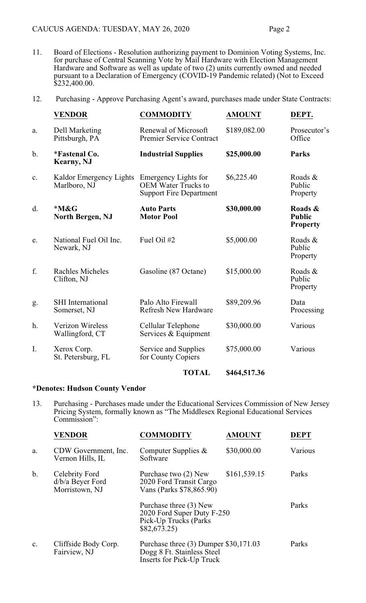- 11. Board of Elections Resolution authorizing payment to Dominion Voting Systems, Inc. for purchase of Central Scanning Vote by Mail Hardware with Election Management Hardware and Software as well as update of two (2) units currently owned and needed pursuant to a Declaration of Emergency (COVID-19 Pandemic related) (Not to Exceed \$232,400.00.
- 12. Purchasing Approve Purchasing Agent's award, purchases made under State Contracts:

|       | <b>VENDOR</b>                              | <b>COMMODITY</b>                                                                     | <b>AMOUNT</b> | DEPT.                                       |
|-------|--------------------------------------------|--------------------------------------------------------------------------------------|---------------|---------------------------------------------|
| a.    | Dell Marketing<br>Pittsburgh, PA           | Renewal of Microsoft<br><b>Premier Service Contract</b>                              | \$189,082.00  | Prosecutor's<br>Office                      |
| $b$ . | <i>*Fastenal Co.</i><br><b>Kearny</b> , NJ | <b>Industrial Supplies</b>                                                           | \$25,000.00   | <b>Parks</b>                                |
| c.    | Kaldor Emergency Lights<br>Marlboro, NJ    | Emergency Lights for<br><b>OEM</b> Water Trucks to<br><b>Support Fire Department</b> | \$6,225.40    | Roads &<br>Public<br>Property               |
| d.    | $*M\&G$<br><b>North Bergen, NJ</b>         | <b>Auto Parts</b><br><b>Motor Pool</b>                                               | \$30,000.00   | Roads &<br><b>Public</b><br><b>Property</b> |
| e.    | National Fuel Oil Inc.<br>Newark, NJ       | Fuel Oil #2                                                                          | \$5,000.00    | Roads &<br>Public<br>Property               |
| f.    | <b>Rachles Micheles</b><br>Clifton, NJ     | Gasoline (87 Octane)                                                                 | \$15,000.00   | Roads &<br>Public<br>Property               |
| g.    | <b>SHI</b> International<br>Somerset, NJ   | Palo Alto Firewall<br><b>Refresh New Hardware</b>                                    | \$89,209.96   | Data<br>Processing                          |
| h.    | <b>Verizon Wireless</b><br>Wallingford, CT | Cellular Telephone<br>Services & Equipment                                           | \$30,000.00   | Various                                     |
| I.    | Xerox Corp.<br>St. Petersburg, FL          | Service and Supplies<br>for County Copiers                                           | \$75,000.00   | Various                                     |
|       |                                            | <b>TOTAL</b>                                                                         | \$464,517.36  |                                             |

# **\*Denotes: Hudson County Vendor**

13. Purchasing - Purchases made under the Educational Services Commission of New Jersey Pricing System, formally known as "The Middlesex Regional Educational Services Commission":

|    | <b>VENDOR</b>                                          | <b>COMMODITY</b>                                                                                          | <b>AMOUNT</b> | <b>DEPT</b> |
|----|--------------------------------------------------------|-----------------------------------------------------------------------------------------------------------|---------------|-------------|
| a. | CDW Government, Inc.<br>Vernon Hills, IL               | Computer Supplies $&$<br>Software                                                                         | \$30,000.00   | Various     |
| b. | Celebrity Ford<br>$d/b/a$ Beyer Ford<br>Morristown, NJ | Purchase two (2) New<br>2020 Ford Transit Cargo<br>Vans (Parks \$78,865.90)                               | \$161,539.15  | Parks       |
|    |                                                        | Purchase three (3) New<br>2020 Ford Super Duty F-250<br>Pick-Up Trucks (Parks<br>\$82,673.25              |               | Parks       |
| c. | Cliffside Body Corp.<br>Fairview, NJ                   | Purchase three $(3)$ Dumper \$30,171.03<br>Dogg 8 Ft. Stainless Steel<br><b>Inserts for Pick-Up Truck</b> |               | Parks       |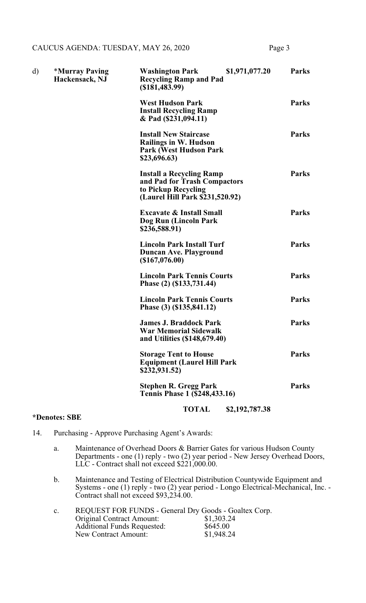| d) | <i><b>*Murray Paving</b></i><br>Hackensack, NJ | \$1,971,077.20<br><b>Washington Park</b><br><b>Recycling Ramp and Pad</b><br>$($ \$181,483.99)                            | <b>Parks</b> |
|----|------------------------------------------------|---------------------------------------------------------------------------------------------------------------------------|--------------|
|    |                                                | <b>West Hudson Park</b><br><b>Install Recycling Ramp</b><br>& Pad (\$231,094.11)                                          | <b>Parks</b> |
|    |                                                | <b>Install New Staircase</b><br><b>Railings in W. Hudson</b><br><b>Park (West Hudson Park)</b><br>\$23,696.63)            | <b>Parks</b> |
|    |                                                | <b>Install a Recycling Ramp</b><br>and Pad for Trash Compactors<br>to Pickup Recycling<br>(Laurel Hill Park \$231,520.92) | <b>Parks</b> |
|    |                                                | <b>Excavate &amp; Install Small</b><br>Dog Run (Lincoln Park<br>\$236,588.91)                                             | <b>Parks</b> |
|    |                                                | <b>Lincoln Park Install Turf</b><br>Duncan Ave. Playground<br>(\$167,076.00)                                              | <b>Parks</b> |
|    |                                                | <b>Lincoln Park Tennis Courts</b><br>Phase (2) (\$133,731.44)                                                             | <b>Parks</b> |
|    |                                                | <b>Lincoln Park Tennis Courts</b><br>Phase (3) (\$135,841.12)                                                             | <b>Parks</b> |
|    |                                                | <b>James J. Braddock Park</b><br>War Memorial Sidewalk<br>and Utilities (\$148,679.40)                                    | <b>Parks</b> |
|    |                                                | <b>Storage Tent to House</b><br><b>Equipment (Laurel Hill Park</b><br>\$232,931.52)                                       | <b>Parks</b> |
|    |                                                | <b>Stephen R. Gregg Park</b><br><b>Tennis Phase 1 (\$248,433.16)</b>                                                      | <b>Parks</b> |

# **TOTAL \$2,192,787.38**

# **\*Denotes: SBE**

- 14. Purchasing Approve Purchasing Agent's Awards:
	- a. Maintenance of Overhead Doors & Barrier Gates for various Hudson County Departments - one (1) reply - two (2) year period - New Jersey Overhead Doors, LLC - Contract shall not exceed \$221,000.00.
	- b. Maintenance and Testing of Electrical Distribution Countywide Equipment and Systems - one (1) reply - two (2) year period - Longo Electrical-Mechanical, Inc. - Contract shall not exceed \$93,234.00.

| $\rm c.$ | REQUEST FOR FUNDS - General Dry Goods - Goaltex Corp. |            |
|----------|-------------------------------------------------------|------------|
|          | <b>Original Contract Amount:</b>                      | \$1,303.24 |
|          | <b>Additional Funds Requested:</b>                    | \$645.00   |
|          | New Contract Amount:                                  | \$1,948.24 |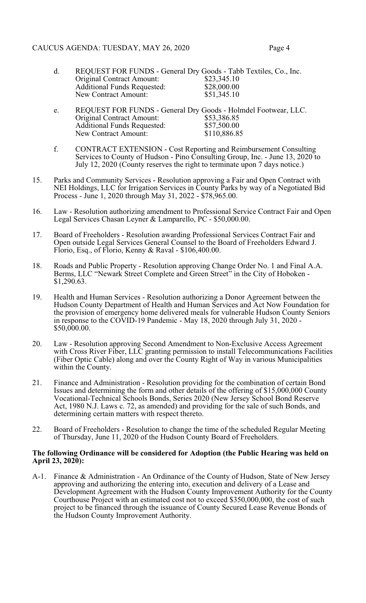- d. REQUEST FOR FUNDS General Dry Goods Tabb Textiles, Co., Inc.<br>Original Contract Amount: \$23,345.10 Original Contract Amount: \$23,345.10<br>Additional Funds Requested: \$28,000.00 Additional Funds Requested: \$28,000.00<br>New Contract Amount: \$51,345.10 New Contract Amount:
- e. REQUEST FOR FUNDS General Dry Goods Holmdel Footwear, LLC.<br>Original Contract Amount: \$53,386.85 Original Contract Amount: \$53,386.85<br>Additional Funds Requested: \$57,500.00 Additional Funds Requested: \$57,500.00<br>New Contract Amount: \$110,886.85 New Contract Amount:
- f. CONTRACT EXTENSION Cost Reporting and Reimbursement Consulting Services to County of Hudson - Pino Consulting Group, Inc. - June 13, 2020 to July 12, 2020 (County reserves the right to terminate upon 7 days notice.)
- 15. Parks and Community Services Resolution approving a Fair and Open Contract with NEI Holdings, LLC for Irrigation Services in County Parks by way of a Negotiated Bid Process - June 1, 2020 through May 31, 2022 - \$78,965.00.
- 16. Law Resolution authorizing amendment to Professional Service Contract Fair and Open Legal Services Chasan Leyner & Lamparello, PC - \$50,000.00.
- 17. Board of Freeholders Resolution awarding Professional Services Contract Fair and Open outside Legal Services General Counsel to the Board of Freeholders Edward J. Florio, Esq., of Florio, Kenny & Raval - \$106,400.00.
- 18. Roads and Public Property Resolution approving Change Order No. 1 and Final A.A. Berms, LLC "Newark Street Complete and Green Street" in the City of Hoboken - \$1,290.63.
- 19. Health and Human Services Resolution authorizing a Donor Agreement between the Hudson County Department of Health and Human Services and Act Now Foundation for the provision of emergency home delivered meals for vulnerable Hudson County Seniors in response to the COVID-19 Pandemic - May 18, 2020 through July 31, 2020 - \$50,000.00.
- 20. Law Resolution approving Second Amendment to Non-Exclusive Access Agreement with Cross River Fiber, LLC granting permission to install Telecommunications Facilities (Fiber Optic Cable) along and over the County Right of Way in various Municipalities within the County.
- 21. Finance and Administration Resolution providing for the combination of certain Bond Issues and determining the form and other details of the offering of \$15,000,000 County Vocational-Technical Schools Bonds, Series 2020 (New Jersey School Bond Reserve Act, 1980 N.J. Laws c. 72, as amended) and providing for the sale of such Bonds, and determining certain matters with respect thereto.
- 22. Board of Freeholders Resolution to change the time of the scheduled Regular Meeting of Thursday, June 11, 2020 of the Hudson County Board of Freeholders.

## **The following Ordinance will be considered for Adoption (the Public Hearing was held on April 23, 2020):**

A-1. Finance & Administration - An Ordinance of the County of Hudson, State of New Jersey approving and authorizing the entering into, execution and delivery of a Lease and Development Agreement with the Hudson County Improvement Authority for the County Courthouse Project with an estimated cost not to exceed \$350,000,000, the cost of such project to be financed through the issuance of County Secured Lease Revenue Bonds of the Hudson County Improvement Authority.